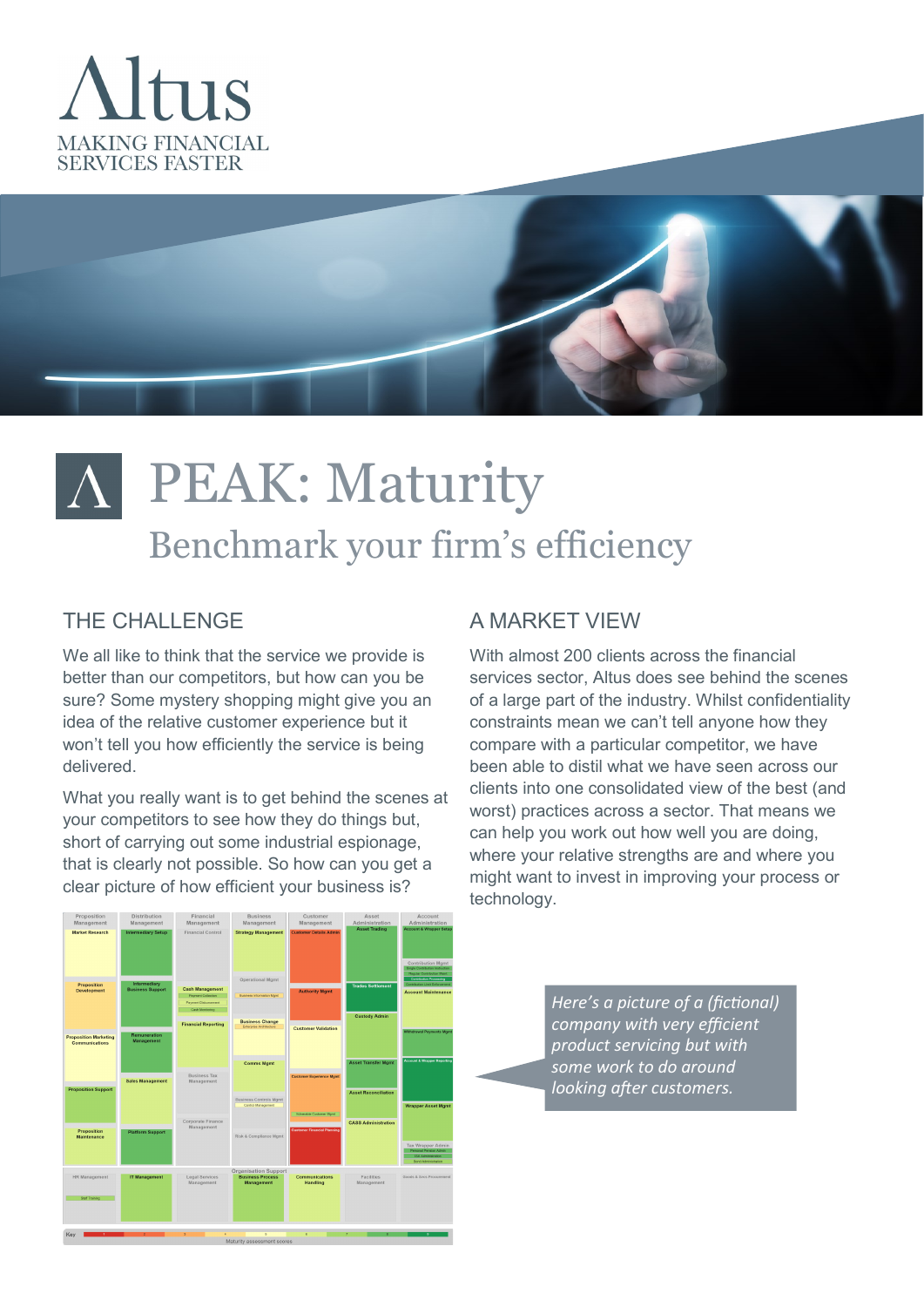



# PEAK: Maturity Benchmark your firm's efficiency

### THE CHALLENGE

We all like to think that the service we provide is better than our competitors, but how can you be sure? Some mystery shopping might give you an idea of the relative customer experience but it won't tell you how efficiently the service is being delivered.

What you really want is to get behind the scenes at your competitors to see how they do things but, short of carrying out some industrial espionage, that is clearly not possible. So how can you get a clear picture of how efficient your business is?

## A MARKET VIEW

With almost 200 clients across the financial services sector, Altus does see behind the scenes of a large part of the industry. Whilst confidentiality constraints mean we can't tell anyone how they compare with a particular competitor, we have been able to distil what we have seen across our clients into one consolidated view of the best (and worst) practices across a sector. That means we can help you work out how well you are doing, where your relative strengths are and where you might want to invest in improving your process or technology.

> *Here's a picture of a (fictional) company with very efficient product servicing but with some work to do around looking after customers.*